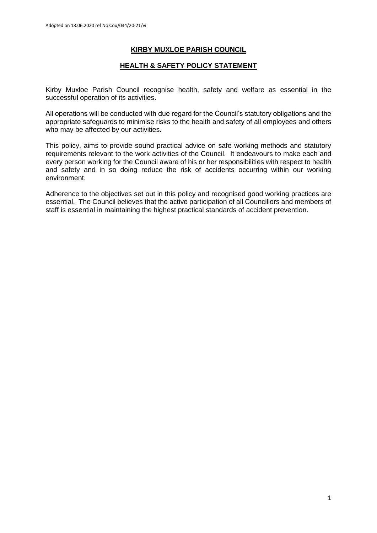# **KIRBY MUXLOE PARISH COUNCIL**

# **HEALTH & SAFETY POLICY STATEMENT**

Kirby Muxloe Parish Council recognise health, safety and welfare as essential in the successful operation of its activities.

All operations will be conducted with due regard for the Council's statutory obligations and the appropriate safeguards to minimise risks to the health and safety of all employees and others who may be affected by our activities.

This policy, aims to provide sound practical advice on safe working methods and statutory requirements relevant to the work activities of the Council. It endeavours to make each and every person working for the Council aware of his or her responsibilities with respect to health and safety and in so doing reduce the risk of accidents occurring within our working environment.

Adherence to the objectives set out in this policy and recognised good working practices are essential. The Council believes that the active participation of all Councillors and members of staff is essential in maintaining the highest practical standards of accident prevention.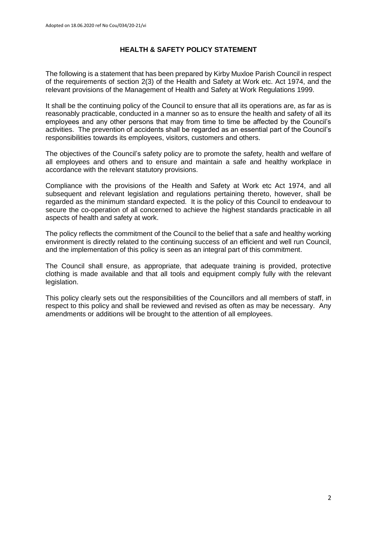# **HEALTH & SAFETY POLICY STATEMENT**

The following is a statement that has been prepared by Kirby Muxloe Parish Council in respect of the requirements of section 2(3) of the Health and Safety at Work etc. Act 1974, and the relevant provisions of the Management of Health and Safety at Work Regulations 1999.

It shall be the continuing policy of the Council to ensure that all its operations are, as far as is reasonably practicable, conducted in a manner so as to ensure the health and safety of all its employees and any other persons that may from time to time be affected by the Council's activities. The prevention of accidents shall be regarded as an essential part of the Council's responsibilities towards its employees, visitors, customers and others.

The objectives of the Council's safety policy are to promote the safety, health and welfare of all employees and others and to ensure and maintain a safe and healthy workplace in accordance with the relevant statutory provisions.

Compliance with the provisions of the Health and Safety at Work etc Act 1974, and all subsequent and relevant legislation and regulations pertaining thereto, however, shall be regarded as the minimum standard expected. It is the policy of this Council to endeavour to secure the co-operation of all concerned to achieve the highest standards practicable in all aspects of health and safety at work.

The policy reflects the commitment of the Council to the belief that a safe and healthy working environment is directly related to the continuing success of an efficient and well run Council, and the implementation of this policy is seen as an integral part of this commitment.

The Council shall ensure, as appropriate, that adequate training is provided, protective clothing is made available and that all tools and equipment comply fully with the relevant legislation.

This policy clearly sets out the responsibilities of the Councillors and all members of staff, in respect to this policy and shall be reviewed and revised as often as may be necessary. Any amendments or additions will be brought to the attention of all employees.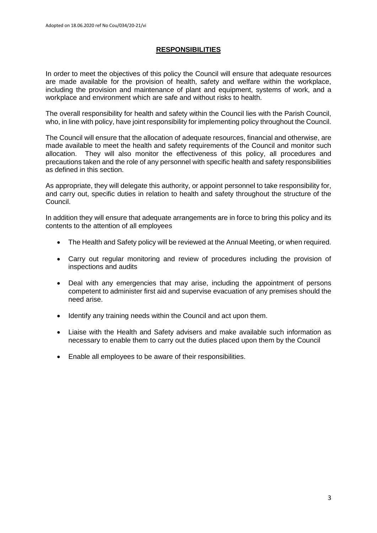# **RESPONSIBILITIES**

In order to meet the objectives of this policy the Council will ensure that adequate resources are made available for the provision of health, safety and welfare within the workplace, including the provision and maintenance of plant and equipment, systems of work, and a workplace and environment which are safe and without risks to health.

The overall responsibility for health and safety within the Council lies with the Parish Council, who, in line with policy, have joint responsibility for implementing policy throughout the Council.

The Council will ensure that the allocation of adequate resources, financial and otherwise, are made available to meet the health and safety requirements of the Council and monitor such allocation. They will also monitor the effectiveness of this policy, all procedures and precautions taken and the role of any personnel with specific health and safety responsibilities as defined in this section.

As appropriate, they will delegate this authority, or appoint personnel to take responsibility for, and carry out, specific duties in relation to health and safety throughout the structure of the Council.

In addition they will ensure that adequate arrangements are in force to bring this policy and its contents to the attention of all employees

- The Health and Safety policy will be reviewed at the Annual Meeting, or when required.
- Carry out regular monitoring and review of procedures including the provision of inspections and audits
- Deal with any emergencies that may arise, including the appointment of persons competent to administer first aid and supervise evacuation of any premises should the need arise.
- Identify any training needs within the Council and act upon them.
- Liaise with the Health and Safety advisers and make available such information as necessary to enable them to carry out the duties placed upon them by the Council
- Enable all employees to be aware of their responsibilities.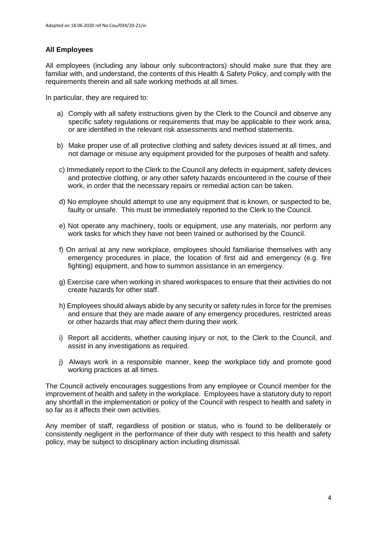# **All Employees**

All employees (including any labour only subcontractors) should make sure that they are familiar with, and understand, the contents of this Health & Safety Policy, and comply with the requirements therein and all safe working methods at all times.

In particular, they are required to:

- a) Comply with all safety instructions given by the Clerk to the Council and observe any specific safety regulations or requirements that may be applicable to their work area, or are identified in the relevant risk assessments and method statements.
- b) Make proper use of all protective clothing and safety devices issued at all times, and not damage or misuse any equipment provided for the purposes of health and safety.
- c) Immediately report to the Clerk to the Council any defects in equipment, safety devices and protective clothing, or any other safety hazards encountered in the course of their work, in order that the necessary repairs or remedial action can be taken.
- d) No employee should attempt to use any equipment that is known, or suspected to be, faulty or unsafe. This must be immediately reported to the Clerk to the Council.
- e) Not operate any machinery, tools or equipment, use any materials, nor perform any work tasks for which they have not been trained or authorised by the Council.
- f) On arrival at any new workplace, employees should familiarise themselves with any emergency procedures in place, the location of first aid and emergency (e.g. fire fighting) equipment, and how to summon assistance in an emergency.
- g) Exercise care when working in shared workspaces to ensure that their activities do not create hazards for other staff.
- h) Employees should always abide by any security or safety rules in force for the premises and ensure that they are made aware of any emergency procedures, restricted areas or other hazards that may affect them during their work.
- i) Report all accidents, whether causing injury or not, to the Clerk to the Council, and assist in any investigations as required.
- j) Always work in a responsible manner, keep the workplace tidy and promote good working practices at all times.

The Council actively encourages suggestions from any employee or Council member for the improvement of health and safety in the workplace. Employees have a statutory duty to report any shortfall in the implementation or policy of the Council with respect to health and safety in so far as it affects their own activities.

Any member of staff, regardless of position or status, who is found to be deliberately or consistently negligent in the performance of their duty with respect to this health and safety policy, may be subject to disciplinary action including dismissal.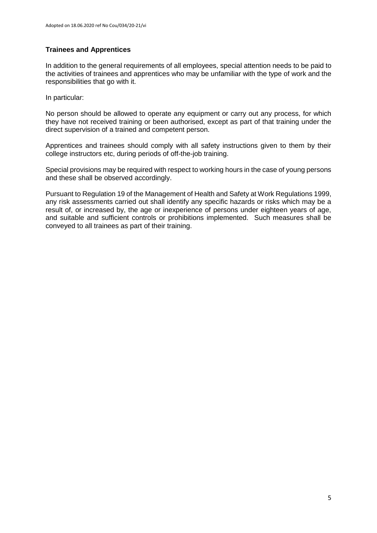# **Trainees and Apprentices**

In addition to the general requirements of all employees, special attention needs to be paid to the activities of trainees and apprentices who may be unfamiliar with the type of work and the responsibilities that go with it.

In particular:

No person should be allowed to operate any equipment or carry out any process, for which they have not received training or been authorised, except as part of that training under the direct supervision of a trained and competent person.

Apprentices and trainees should comply with all safety instructions given to them by their college instructors etc, during periods of off-the-job training.

Special provisions may be required with respect to working hours in the case of young persons and these shall be observed accordingly.

Pursuant to Regulation 19 of the Management of Health and Safety at Work Regulations 1999, any risk assessments carried out shall identify any specific hazards or risks which may be a result of, or increased by, the age or inexperience of persons under eighteen years of age, and suitable and sufficient controls or prohibitions implemented. Such measures shall be conveyed to all trainees as part of their training.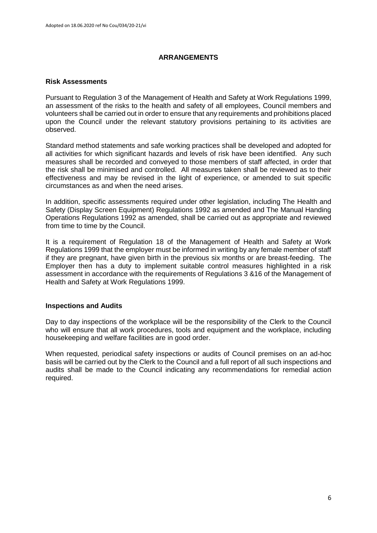# **ARRANGEMENTS**

### **Risk Assessments**

Pursuant to Regulation 3 of the Management of Health and Safety at Work Regulations 1999, an assessment of the risks to the health and safety of all employees, Council members and volunteers shall be carried out in order to ensure that any requirements and prohibitions placed upon the Council under the relevant statutory provisions pertaining to its activities are observed.

Standard method statements and safe working practices shall be developed and adopted for all activities for which significant hazards and levels of risk have been identified. Any such measures shall be recorded and conveyed to those members of staff affected, in order that the risk shall be minimised and controlled. All measures taken shall be reviewed as to their effectiveness and may be revised in the light of experience, or amended to suit specific circumstances as and when the need arises.

In addition, specific assessments required under other legislation, including The Health and Safety (Display Screen Equipment) Regulations 1992 as amended and The Manual Handing Operations Regulations 1992 as amended, shall be carried out as appropriate and reviewed from time to time by the Council.

It is a requirement of Regulation 18 of the Management of Health and Safety at Work Regulations 1999 that the employer must be informed in writing by any female member of staff if they are pregnant, have given birth in the previous six months or are breast-feeding. The Employer then has a duty to implement suitable control measures highlighted in a risk assessment in accordance with the requirements of Regulations 3 &16 of the Management of Health and Safety at Work Regulations 1999.

# **Inspections and Audits**

Day to day inspections of the workplace will be the responsibility of the Clerk to the Council who will ensure that all work procedures, tools and equipment and the workplace, including housekeeping and welfare facilities are in good order.

When requested, periodical safety inspections or audits of Council premises on an ad-hoc basis will be carried out by the Clerk to the Council and a full report of all such inspections and audits shall be made to the Council indicating any recommendations for remedial action required.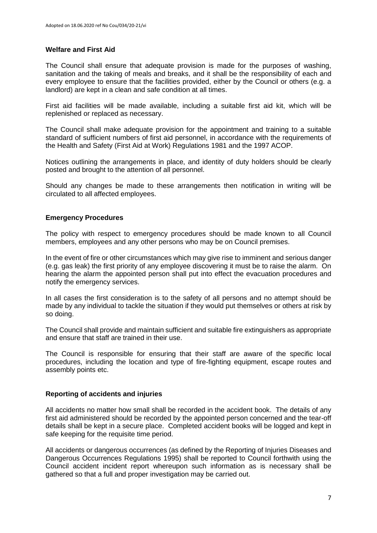# **Welfare and First Aid**

The Council shall ensure that adequate provision is made for the purposes of washing, sanitation and the taking of meals and breaks, and it shall be the responsibility of each and every employee to ensure that the facilities provided, either by the Council or others (e.g. a landlord) are kept in a clean and safe condition at all times.

First aid facilities will be made available, including a suitable first aid kit, which will be replenished or replaced as necessary.

The Council shall make adequate provision for the appointment and training to a suitable standard of sufficient numbers of first aid personnel, in accordance with the requirements of the Health and Safety (First Aid at Work) Regulations 1981 and the 1997 ACOP.

Notices outlining the arrangements in place, and identity of duty holders should be clearly posted and brought to the attention of all personnel.

Should any changes be made to these arrangements then notification in writing will be circulated to all affected employees.

# **Emergency Procedures**

The policy with respect to emergency procedures should be made known to all Council members, employees and any other persons who may be on Council premises.

In the event of fire or other circumstances which may give rise to imminent and serious danger (e.g. gas leak) the first priority of any employee discovering it must be to raise the alarm. On hearing the alarm the appointed person shall put into effect the evacuation procedures and notify the emergency services.

In all cases the first consideration is to the safety of all persons and no attempt should be made by any individual to tackle the situation if they would put themselves or others at risk by so doing.

The Council shall provide and maintain sufficient and suitable fire extinguishers as appropriate and ensure that staff are trained in their use.

The Council is responsible for ensuring that their staff are aware of the specific local procedures, including the location and type of fire-fighting equipment, escape routes and assembly points etc.

# **Reporting of accidents and injuries**

All accidents no matter how small shall be recorded in the accident book. The details of any first aid administered should be recorded by the appointed person concerned and the tear-off details shall be kept in a secure place. Completed accident books will be logged and kept in safe keeping for the requisite time period.

All accidents or dangerous occurrences (as defined by the Reporting of Injuries Diseases and Dangerous Occurrences Regulations 1995) shall be reported to Council forthwith using the Council accident incident report whereupon such information as is necessary shall be gathered so that a full and proper investigation may be carried out.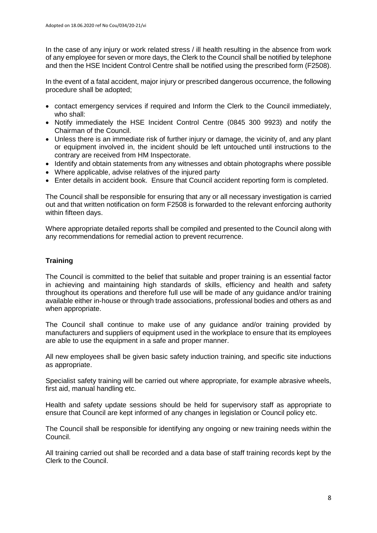In the case of any injury or work related stress / ill health resulting in the absence from work of any employee for seven or more days, the Clerk to the Council shall be notified by telephone and then the HSE Incident Control Centre shall be notified using the prescribed form (F2508).

In the event of a fatal accident, major injury or prescribed dangerous occurrence, the following procedure shall be adopted;

- contact emergency services if required and Inform the Clerk to the Council immediately, who shall:
- Notify immediately the HSE Incident Control Centre (0845 300 9923) and notify the Chairman of the Council.
- Unless there is an immediate risk of further injury or damage, the vicinity of, and any plant or equipment involved in, the incident should be left untouched until instructions to the contrary are received from HM Inspectorate.
- Identify and obtain statements from any witnesses and obtain photographs where possible
- Where applicable, advise relatives of the injured party
- Enter details in accident book. Ensure that Council accident reporting form is completed.

The Council shall be responsible for ensuring that any or all necessary investigation is carried out and that written notification on form F2508 is forwarded to the relevant enforcing authority within fifteen days.

Where appropriate detailed reports shall be compiled and presented to the Council along with any recommendations for remedial action to prevent recurrence.

# **Training**

The Council is committed to the belief that suitable and proper training is an essential factor in achieving and maintaining high standards of skills, efficiency and health and safety throughout its operations and therefore full use will be made of any guidance and/or training available either in-house or through trade associations, professional bodies and others as and when appropriate.

The Council shall continue to make use of any guidance and/or training provided by manufacturers and suppliers of equipment used in the workplace to ensure that its employees are able to use the equipment in a safe and proper manner.

All new employees shall be given basic safety induction training, and specific site inductions as appropriate.

Specialist safety training will be carried out where appropriate, for example abrasive wheels, first aid, manual handling etc.

Health and safety update sessions should be held for supervisory staff as appropriate to ensure that Council are kept informed of any changes in legislation or Council policy etc.

The Council shall be responsible for identifying any ongoing or new training needs within the Council.

All training carried out shall be recorded and a data base of staff training records kept by the Clerk to the Council.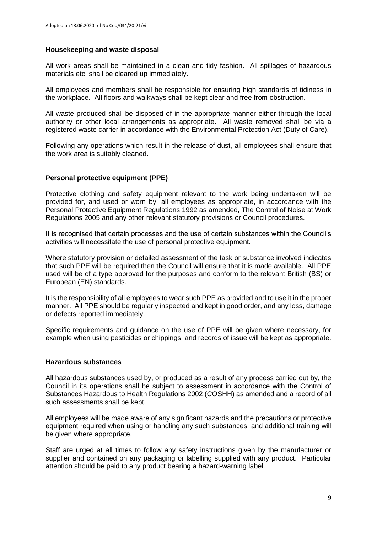# **Housekeeping and waste disposal**

All work areas shall be maintained in a clean and tidy fashion. All spillages of hazardous materials etc. shall be cleared up immediately.

All employees and members shall be responsible for ensuring high standards of tidiness in the workplace. All floors and walkways shall be kept clear and free from obstruction.

All waste produced shall be disposed of in the appropriate manner either through the local authority or other local arrangements as appropriate. All waste removed shall be via a registered waste carrier in accordance with the Environmental Protection Act (Duty of Care).

Following any operations which result in the release of dust, all employees shall ensure that the work area is suitably cleaned.

# **Personal protective equipment (PPE)**

Protective clothing and safety equipment relevant to the work being undertaken will be provided for, and used or worn by, all employees as appropriate, in accordance with the Personal Protective Equipment Regulations 1992 as amended, The Control of Noise at Work Regulations 2005 and any other relevant statutory provisions or Council procedures.

It is recognised that certain processes and the use of certain substances within the Council's activities will necessitate the use of personal protective equipment.

Where statutory provision or detailed assessment of the task or substance involved indicates that such PPE will be required then the Council will ensure that it is made available. All PPE used will be of a type approved for the purposes and conform to the relevant British (BS) or European (EN) standards.

It is the responsibility of all employees to wear such PPE as provided and to use it in the proper manner. All PPE should be regularly inspected and kept in good order, and any loss, damage or defects reported immediately.

Specific requirements and guidance on the use of PPE will be given where necessary, for example when using pesticides or chippings, and records of issue will be kept as appropriate.

#### **Hazardous substances**

All hazardous substances used by, or produced as a result of any process carried out by, the Council in its operations shall be subject to assessment in accordance with the Control of Substances Hazardous to Health Regulations 2002 (COSHH) as amended and a record of all such assessments shall be kept.

All employees will be made aware of any significant hazards and the precautions or protective equipment required when using or handling any such substances, and additional training will be given where appropriate.

Staff are urged at all times to follow any safety instructions given by the manufacturer or supplier and contained on any packaging or labelling supplied with any product. Particular attention should be paid to any product bearing a hazard-warning label.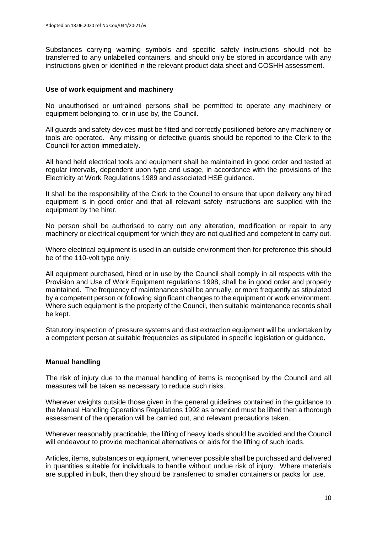Substances carrying warning symbols and specific safety instructions should not be transferred to any unlabelled containers, and should only be stored in accordance with any instructions given or identified in the relevant product data sheet and COSHH assessment.

### **Use of work equipment and machinery**

No unauthorised or untrained persons shall be permitted to operate any machinery or equipment belonging to, or in use by, the Council.

All guards and safety devices must be fitted and correctly positioned before any machinery or tools are operated. Any missing or defective guards should be reported to the Clerk to the Council for action immediately.

All hand held electrical tools and equipment shall be maintained in good order and tested at regular intervals, dependent upon type and usage, in accordance with the provisions of the Electricity at Work Regulations 1989 and associated HSE guidance.

It shall be the responsibility of the Clerk to the Council to ensure that upon delivery any hired equipment is in good order and that all relevant safety instructions are supplied with the equipment by the hirer.

No person shall be authorised to carry out any alteration, modification or repair to any machinery or electrical equipment for which they are not qualified and competent to carry out.

Where electrical equipment is used in an outside environment then for preference this should be of the 110-volt type only.

All equipment purchased, hired or in use by the Council shall comply in all respects with the Provision and Use of Work Equipment regulations 1998, shall be in good order and properly maintained. The frequency of maintenance shall be annually, or more frequently as stipulated by a competent person or following significant changes to the equipment or work environment. Where such equipment is the property of the Council, then suitable maintenance records shall be kept.

Statutory inspection of pressure systems and dust extraction equipment will be undertaken by a competent person at suitable frequencies as stipulated in specific legislation or guidance.

#### **Manual handling**

The risk of injury due to the manual handling of items is recognised by the Council and all measures will be taken as necessary to reduce such risks.

Wherever weights outside those given in the general guidelines contained in the guidance to the Manual Handling Operations Regulations 1992 as amended must be lifted then a thorough assessment of the operation will be carried out, and relevant precautions taken.

Wherever reasonably practicable, the lifting of heavy loads should be avoided and the Council will endeavour to provide mechanical alternatives or aids for the lifting of such loads.

Articles, items, substances or equipment, whenever possible shall be purchased and delivered in quantities suitable for individuals to handle without undue risk of injury. Where materials are supplied in bulk, then they should be transferred to smaller containers or packs for use.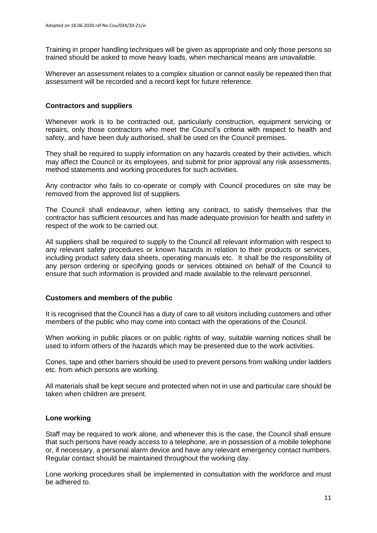Training in proper handling techniques will be given as appropriate and only those persons so trained should be asked to move heavy loads, when mechanical means are unavailable.

Wherever an assessment relates to a complex situation or cannot easily be repeated then that assessment will be recorded and a record kept for future reference.

### **Contractors and suppliers**

Whenever work is to be contracted out, particularly construction, equipment servicing or repairs, only those contractors who meet the Council's criteria with respect to health and safety, and have been duly authorised, shall be used on the Council premises.

They shall be required to supply information on any hazards created by their activities, which may affect the Council or its employees, and submit for prior approval any risk assessments, method statements and working procedures for such activities.

Any contractor who fails to co-operate or comply with Council procedures on site may be removed from the approved list of suppliers.

The Council shall endeavour, when letting any contract, to satisfy themselves that the contractor has sufficient resources and has made adequate provision for health and safety in respect of the work to be carried out.

All suppliers shall be required to supply to the Council all relevant information with respect to any relevant safety procedures or known hazards in relation to their products or services, including product safety data sheets, operating manuals etc. It shall be the responsibility of any person ordering or specifying goods or services obtained on behalf of the Council to ensure that such information is provided and made available to the relevant personnel.

#### **Customers and members of the public**

It is recognised that the Council has a duty of care to all visitors including customers and other members of the public who may come into contact with the operations of the Council.

When working in public places or on public rights of way, suitable warning notices shall be used to inform others of the hazards which may be presented due to the work activities.

Cones, tape and other barriers should be used to prevent persons from walking under ladders etc. from which persons are working.

All materials shall be kept secure and protected when not in use and particular care should be taken when children are present.

# **Lone working**

Staff may be required to work alone, and whenever this is the case, the Council shall ensure that such persons have ready access to a telephone, are in possession of a mobile telephone or, if necessary, a personal alarm device and have any relevant emergency contact numbers. Regular contact should be maintained throughout the working day.

Lone working procedures shall be implemented in consultation with the workforce and must be adhered to.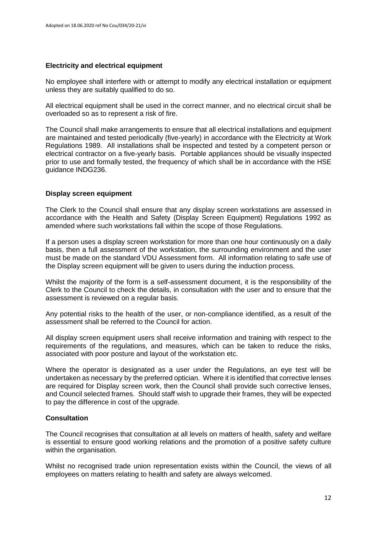# **Electricity and electrical equipment**

No employee shall interfere with or attempt to modify any electrical installation or equipment unless they are suitably qualified to do so.

All electrical equipment shall be used in the correct manner, and no electrical circuit shall be overloaded so as to represent a risk of fire.

The Council shall make arrangements to ensure that all electrical installations and equipment are maintained and tested periodically (five-yearly) in accordance with the Electricity at Work Regulations 1989. All installations shall be inspected and tested by a competent person or electrical contractor on a five-yearly basis. Portable appliances should be visually inspected prior to use and formally tested, the frequency of which shall be in accordance with the HSE guidance INDG236.

# **Display screen equipment**

The Clerk to the Council shall ensure that any display screen workstations are assessed in accordance with the Health and Safety (Display Screen Equipment) Regulations 1992 as amended where such workstations fall within the scope of those Regulations.

If a person uses a display screen workstation for more than one hour continuously on a daily basis, then a full assessment of the workstation, the surrounding environment and the user must be made on the standard VDU Assessment form. All information relating to safe use of the Display screen equipment will be given to users during the induction process.

Whilst the majority of the form is a self-assessment document, it is the responsibility of the Clerk to the Council to check the details, in consultation with the user and to ensure that the assessment is reviewed on a regular basis.

Any potential risks to the health of the user, or non-compliance identified, as a result of the assessment shall be referred to the Council for action.

All display screen equipment users shall receive information and training with respect to the requirements of the regulations, and measures, which can be taken to reduce the risks, associated with poor posture and layout of the workstation etc.

Where the operator is designated as a user under the Regulations, an eye test will be undertaken as necessary by the preferred optician. Where it is identified that corrective lenses are required for Display screen work, then the Council shall provide such corrective lenses, and Council selected frames. Should staff wish to upgrade their frames, they will be expected to pay the difference in cost of the upgrade.

# **Consultation**

The Council recognises that consultation at all levels on matters of health, safety and welfare is essential to ensure good working relations and the promotion of a positive safety culture within the organisation.

Whilst no recognised trade union representation exists within the Council, the views of all employees on matters relating to health and safety are always welcomed.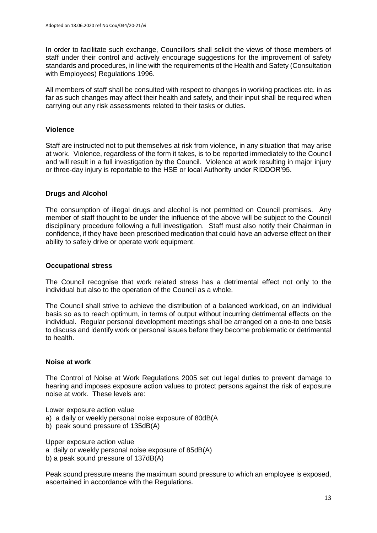In order to facilitate such exchange, Councillors shall solicit the views of those members of staff under their control and actively encourage suggestions for the improvement of safety standards and procedures, in line with the requirements of the Health and Safety (Consultation with Employees) Regulations 1996.

All members of staff shall be consulted with respect to changes in working practices etc. in as far as such changes may affect their health and safety, and their input shall be required when carrying out any risk assessments related to their tasks or duties.

# **Violence**

Staff are instructed not to put themselves at risk from violence, in any situation that may arise at work. Violence, regardless of the form it takes, is to be reported immediately to the Council and will result in a full investigation by the Council. Violence at work resulting in major injury or three-day injury is reportable to the HSE or local Authority under RIDDOR'95.

# **Drugs and Alcohol**

The consumption of illegal drugs and alcohol is not permitted on Council premises. Any member of staff thought to be under the influence of the above will be subject to the Council disciplinary procedure following a full investigation. Staff must also notify their Chairman in confidence, if they have been prescribed medication that could have an adverse effect on their ability to safely drive or operate work equipment.

# **Occupational stress**

The Council recognise that work related stress has a detrimental effect not only to the individual but also to the operation of the Council as a whole.

The Council shall strive to achieve the distribution of a balanced workload, on an individual basis so as to reach optimum, in terms of output without incurring detrimental effects on the individual. Regular personal development meetings shall be arranged on a one-to one basis to discuss and identify work or personal issues before they become problematic or detrimental to health.

# **Noise at work**

The Control of Noise at Work Regulations 2005 set out legal duties to prevent damage to hearing and imposes exposure action values to protect persons against the risk of exposure noise at work. These levels are:

Lower exposure action value

- a) a daily or weekly personal noise exposure of 80dB(A
- b) peak sound pressure of 135dB(A)

Upper exposure action value a daily or weekly personal noise exposure of 85dB(A) b) a peak sound pressure of 137dB(A)

Peak sound pressure means the maximum sound pressure to which an employee is exposed, ascertained in accordance with the Regulations.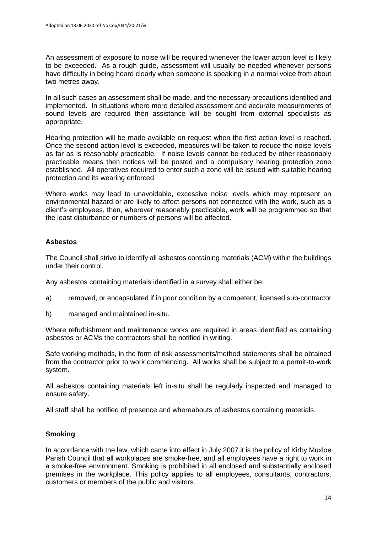An assessment of exposure to noise will be required whenever the lower action level is likely to be exceeded. As a rough guide, assessment will usually be needed whenever persons have difficulty in being heard clearly when someone is speaking in a normal voice from about two metres away.

In all such cases an assessment shall be made, and the necessary precautions identified and implemented. In situations where more detailed assessment and accurate measurements of sound levels are required then assistance will be sought from external specialists as appropriate.

Hearing protection will be made available on request when the first action level is reached. Once the second action level is exceeded, measures will be taken to reduce the noise levels as far as is reasonably practicable. If noise levels cannot be reduced by other reasonably practicable means then notices will be posted and a compulsory hearing protection zone established. All operatives required to enter such a zone will be issued with suitable hearing protection and its wearing enforced.

Where works may lead to unavoidable, excessive noise levels which may represent an environmental hazard or are likely to affect persons not connected with the work, such as a client's employees, then, wherever reasonably practicable, work will be programmed so that the least disturbance or numbers of persons will be affected.

# **Asbestos**

The Council shall strive to identify all asbestos containing materials (ACM) within the buildings under their control.

Any asbestos containing materials identified in a survey shall either be:

- a) removed, or encapsulated if in poor condition by a competent, licensed sub-contractor
- b) managed and maintained in-situ.

Where refurbishment and maintenance works are required in areas identified as containing asbestos or ACMs the contractors shall be notified in writing.

Safe working methods, in the form of risk assessments/method statements shall be obtained from the contractor prior to work commencing. All works shall be subject to a permit-to-work system.

All asbestos containing materials left in-situ shall be regularly inspected and managed to ensure safety.

All staff shall be notified of presence and whereabouts of asbestos containing materials.

# **Smoking**

In accordance with the law, which came into effect in July 2007 it is the policy of Kirby Muxloe Parish Council that all workplaces are smoke-free, and all employees have a right to work in a smoke-free environment. Smoking is prohibited in all enclosed and substantially enclosed premises in the workplace. This policy applies to all employees, consultants, contractors, customers or members of the public and visitors.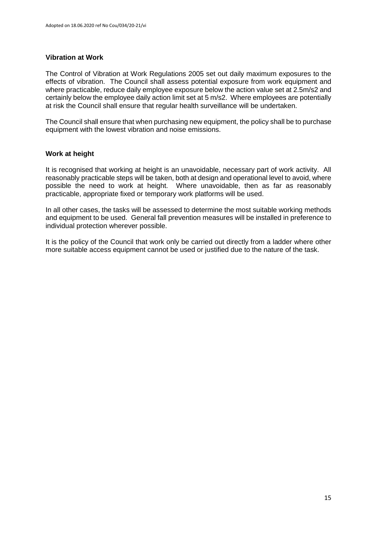### **Vibration at Work**

The Control of Vibration at Work Regulations 2005 set out daily maximum exposures to the effects of vibration. The Council shall assess potential exposure from work equipment and where practicable, reduce daily employee exposure below the action value set at 2.5m/s2 and certainly below the employee daily action limit set at 5 m/s2. Where employees are potentially at risk the Council shall ensure that regular health surveillance will be undertaken.

The Council shall ensure that when purchasing new equipment, the policy shall be to purchase equipment with the lowest vibration and noise emissions.

#### **Work at height**

It is recognised that working at height is an unavoidable, necessary part of work activity. All reasonably practicable steps will be taken, both at design and operational level to avoid, where possible the need to work at height. Where unavoidable, then as far as reasonably practicable, appropriate fixed or temporary work platforms will be used.

In all other cases, the tasks will be assessed to determine the most suitable working methods and equipment to be used. General fall prevention measures will be installed in preference to individual protection wherever possible.

It is the policy of the Council that work only be carried out directly from a ladder where other more suitable access equipment cannot be used or justified due to the nature of the task.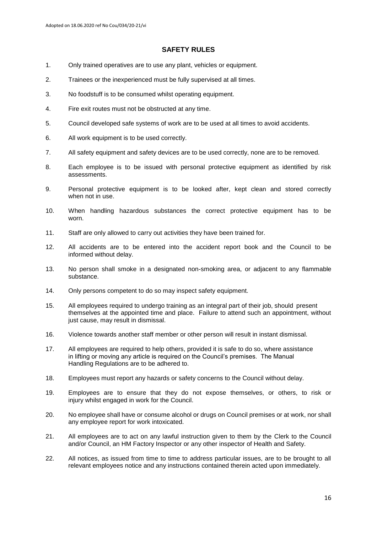#### **SAFETY RULES**

- 1. Only trained operatives are to use any plant, vehicles or equipment.
- 2. Trainees or the inexperienced must be fully supervised at all times.
- 3. No foodstuff is to be consumed whilst operating equipment.
- 4. Fire exit routes must not be obstructed at any time.
- 5. Council developed safe systems of work are to be used at all times to avoid accidents.
- 6. All work equipment is to be used correctly.
- 7. All safety equipment and safety devices are to be used correctly, none are to be removed.
- 8. Each employee is to be issued with personal protective equipment as identified by risk assessments.
- 9. Personal protective equipment is to be looked after, kept clean and stored correctly when not in use.
- 10. When handling hazardous substances the correct protective equipment has to be worn.
- 11. Staff are only allowed to carry out activities they have been trained for.
- 12. All accidents are to be entered into the accident report book and the Council to be informed without delay.
- 13. No person shall smoke in a designated non-smoking area, or adjacent to any flammable substance.
- 14. Only persons competent to do so may inspect safety equipment.
- 15. All employees required to undergo training as an integral part of their job, should present themselves at the appointed time and place. Failure to attend such an appointment, without just cause, may result in dismissal.
- 16. Violence towards another staff member or other person will result in instant dismissal.
- 17. All employees are required to help others, provided it is safe to do so, where assistance in lifting or moving any article is required on the Council's premises. The Manual Handling Regulations are to be adhered to.
- 18. Employees must report any hazards or safety concerns to the Council without delay.
- 19. Employees are to ensure that they do not expose themselves, or others, to risk or injury whilst engaged in work for the Council.
- 20. No employee shall have or consume alcohol or drugs on Council premises or at work, nor shall any employee report for work intoxicated.
- 21. All employees are to act on any lawful instruction given to them by the Clerk to the Council and/or Council, an HM Factory Inspector or any other inspector of Health and Safety.
- 22. All notices, as issued from time to time to address particular issues, are to be brought to all relevant employees notice and any instructions contained therein acted upon immediately.